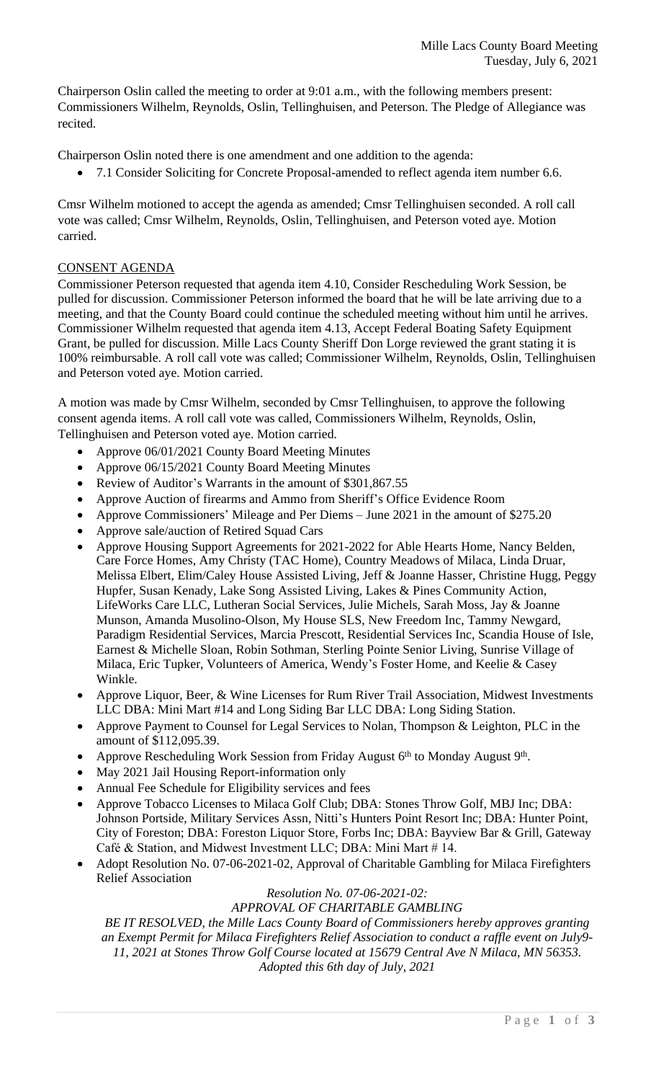Chairperson Oslin called the meeting to order at 9:01 a.m., with the following members present: Commissioners Wilhelm, Reynolds, Oslin, Tellinghuisen, and Peterson. The Pledge of Allegiance was recited.

Chairperson Oslin noted there is one amendment and one addition to the agenda:

7.1 Consider Soliciting for Concrete Proposal-amended to reflect agenda item number 6.6.

Cmsr Wilhelm motioned to accept the agenda as amended; Cmsr Tellinghuisen seconded. A roll call vote was called; Cmsr Wilhelm, Reynolds, Oslin, Tellinghuisen, and Peterson voted aye. Motion carried.

## CONSENT AGENDA

Commissioner Peterson requested that agenda item 4.10, Consider Rescheduling Work Session, be pulled for discussion. Commissioner Peterson informed the board that he will be late arriving due to a meeting, and that the County Board could continue the scheduled meeting without him until he arrives. Commissioner Wilhelm requested that agenda item 4.13, Accept Federal Boating Safety Equipment Grant, be pulled for discussion. Mille Lacs County Sheriff Don Lorge reviewed the grant stating it is 100% reimbursable. A roll call vote was called; Commissioner Wilhelm, Reynolds, Oslin, Tellinghuisen and Peterson voted aye. Motion carried.

A motion was made by Cmsr Wilhelm, seconded by Cmsr Tellinghuisen, to approve the following consent agenda items. A roll call vote was called, Commissioners Wilhelm, Reynolds, Oslin, Tellinghuisen and Peterson voted aye. Motion carried.

- Approve 06/01/2021 County Board Meeting Minutes
- Approve 06/15/2021 County Board Meeting Minutes
- Review of Auditor's Warrants in the amount of \$301,867.55
- Approve Auction of firearms and Ammo from Sheriff's Office Evidence Room
- Approve Commissioners' Mileage and Per Diems June 2021 in the amount of \$275.20
- Approve sale/auction of Retired Squad Cars
- Approve Housing Support Agreements for 2021-2022 for Able Hearts Home, Nancy Belden, Care Force Homes, Amy Christy (TAC Home), Country Meadows of Milaca, Linda Druar, Melissa Elbert, Elim/Caley House Assisted Living, Jeff & Joanne Hasser, Christine Hugg, Peggy Hupfer, Susan Kenady, Lake Song Assisted Living, Lakes & Pines Community Action, LifeWorks Care LLC, Lutheran Social Services, Julie Michels, Sarah Moss, Jay & Joanne Munson, Amanda Musolino-Olson, My House SLS, New Freedom Inc, Tammy Newgard, Paradigm Residential Services, Marcia Prescott, Residential Services Inc, Scandia House of Isle, Earnest & Michelle Sloan, Robin Sothman, Sterling Pointe Senior Living, Sunrise Village of Milaca, Eric Tupker, Volunteers of America, Wendy's Foster Home, and Keelie & Casey Winkle.
- Approve Liquor, Beer, & Wine Licenses for Rum River Trail Association, Midwest Investments LLC DBA: Mini Mart #14 and Long Siding Bar LLC DBA: Long Siding Station.
- Approve Payment to Counsel for Legal Services to Nolan, Thompson & Leighton, PLC in the amount of \$112,095.39.
- Approve Rescheduling Work Session from Friday August 6<sup>th</sup> to Monday August 9<sup>th</sup>.
- May 2021 Jail Housing Report-information only
- Annual Fee Schedule for Eligibility services and fees
- Approve Tobacco Licenses to Milaca Golf Club; DBA: Stones Throw Golf, MBJ Inc; DBA: Johnson Portside, Military Services Assn, Nitti's Hunters Point Resort Inc; DBA: Hunter Point, City of Foreston; DBA: Foreston Liquor Store, Forbs Inc; DBA: Bayview Bar & Grill, Gateway Café & Station, and Midwest Investment LLC; DBA: Mini Mart # 14.
- Adopt Resolution No. 07-06-2021-02, Approval of Charitable Gambling for Milaca Firefighters Relief Association

#### *Resolution No. 07-06-2021-02: APPROVAL OF CHARITABLE GAMBLING*

*BE IT RESOLVED, the Mille Lacs County Board of Commissioners hereby approves granting an Exempt Permit for Milaca Firefighters Relief Association to conduct a raffle event on July9- 11, 2021 at Stones Throw Golf Course located at 15679 Central Ave N Milaca, MN 56353. Adopted this 6th day of July, 2021*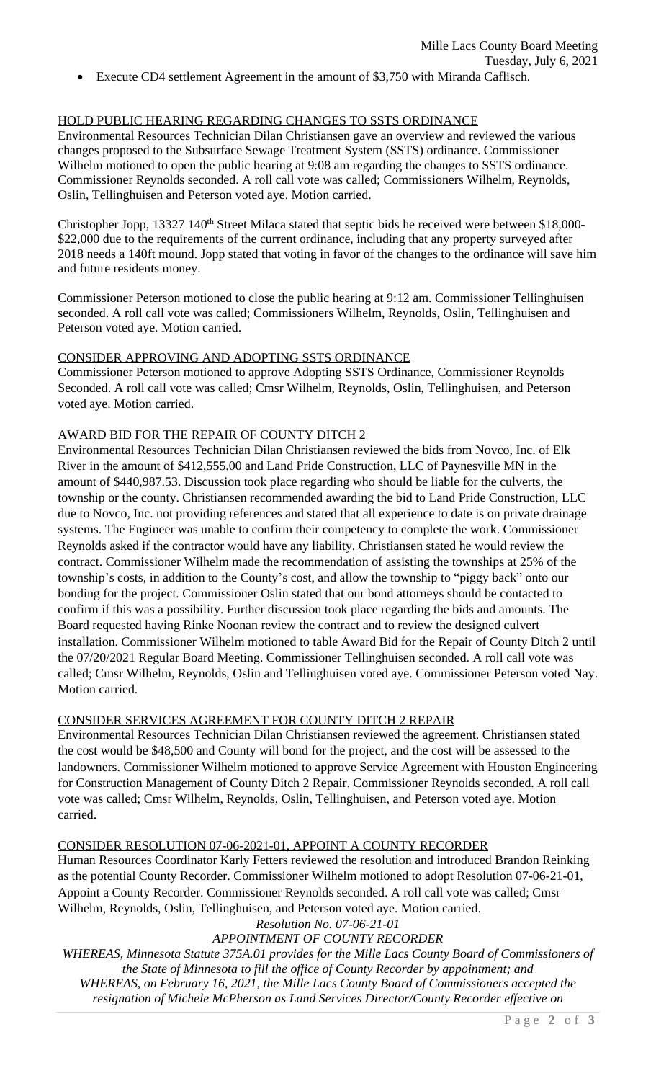Execute CD4 settlement Agreement in the amount of \$3,750 with Miranda Caflisch.

## HOLD PUBLIC HEARING REGARDING CHANGES TO SSTS ORDINANCE

Environmental Resources Technician Dilan Christiansen gave an overview and reviewed the various changes proposed to the Subsurface Sewage Treatment System (SSTS) ordinance. Commissioner Wilhelm motioned to open the public hearing at 9:08 am regarding the changes to SSTS ordinance. Commissioner Reynolds seconded. A roll call vote was called; Commissioners Wilhelm, Reynolds, Oslin, Tellinghuisen and Peterson voted aye. Motion carried.

Christopher Jopp, 13327 140<sup>th</sup> Street Milaca stated that septic bids he received were between \$18,000-\$22,000 due to the requirements of the current ordinance, including that any property surveyed after 2018 needs a 140ft mound. Jopp stated that voting in favor of the changes to the ordinance will save him and future residents money.

Commissioner Peterson motioned to close the public hearing at 9:12 am. Commissioner Tellinghuisen seconded. A roll call vote was called; Commissioners Wilhelm, Reynolds, Oslin, Tellinghuisen and Peterson voted aye. Motion carried.

### CONSIDER APPROVING AND ADOPTING SSTS ORDINANCE

Commissioner Peterson motioned to approve Adopting SSTS Ordinance, Commissioner Reynolds Seconded. A roll call vote was called; Cmsr Wilhelm, Reynolds, Oslin, Tellinghuisen, and Peterson voted aye. Motion carried.

### AWARD BID FOR THE REPAIR OF COUNTY DITCH 2

Environmental Resources Technician Dilan Christiansen reviewed the bids from Novco, Inc. of Elk River in the amount of \$412,555.00 and Land Pride Construction, LLC of Paynesville MN in the amount of \$440,987.53. Discussion took place regarding who should be liable for the culverts, the township or the county. Christiansen recommended awarding the bid to Land Pride Construction, LLC due to Novco, Inc. not providing references and stated that all experience to date is on private drainage systems. The Engineer was unable to confirm their competency to complete the work. Commissioner Reynolds asked if the contractor would have any liability. Christiansen stated he would review the contract. Commissioner Wilhelm made the recommendation of assisting the townships at 25% of the township's costs, in addition to the County's cost, and allow the township to "piggy back" onto our bonding for the project. Commissioner Oslin stated that our bond attorneys should be contacted to confirm if this was a possibility. Further discussion took place regarding the bids and amounts. The Board requested having Rinke Noonan review the contract and to review the designed culvert installation. Commissioner Wilhelm motioned to table Award Bid for the Repair of County Ditch 2 until the 07/20/2021 Regular Board Meeting. Commissioner Tellinghuisen seconded. A roll call vote was called; Cmsr Wilhelm, Reynolds, Oslin and Tellinghuisen voted aye. Commissioner Peterson voted Nay. Motion carried.

### CONSIDER SERVICES AGREEMENT FOR COUNTY DITCH 2 REPAIR

Environmental Resources Technician Dilan Christiansen reviewed the agreement. Christiansen stated the cost would be \$48,500 and County will bond for the project, and the cost will be assessed to the landowners. Commissioner Wilhelm motioned to approve Service Agreement with Houston Engineering for Construction Management of County Ditch 2 Repair. Commissioner Reynolds seconded. A roll call vote was called; Cmsr Wilhelm, Reynolds, Oslin, Tellinghuisen, and Peterson voted aye. Motion carried.

#### CONSIDER RESOLUTION 07-06-2021-01, APPOINT A COUNTY RECORDER

Human Resources Coordinator Karly Fetters reviewed the resolution and introduced Brandon Reinking as the potential County Recorder. Commissioner Wilhelm motioned to adopt Resolution 07-06-21-01, Appoint a County Recorder. Commissioner Reynolds seconded. A roll call vote was called; Cmsr Wilhelm, Reynolds, Oslin, Tellinghuisen, and Peterson voted aye. Motion carried.

*Resolution No. 07-06-21-01*

# *APPOINTMENT OF COUNTY RECORDER*

*WHEREAS, Minnesota Statute 375A.01 provides for the Mille Lacs County Board of Commissioners of the State of Minnesota to fill the office of County Recorder by appointment; and WHEREAS, on February 16, 2021, the Mille Lacs County Board of Commissioners accepted the resignation of Michele McPherson as Land Services Director/County Recorder effective on*